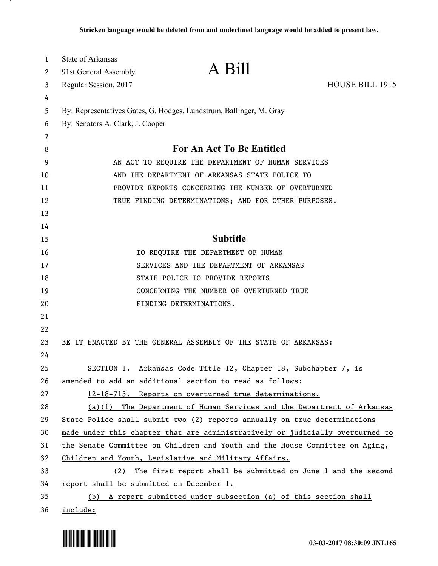| 1  | <b>State of Arkansas</b>                            | A Bill                                                                        |                 |
|----|-----------------------------------------------------|-------------------------------------------------------------------------------|-----------------|
| 2  | 91st General Assembly                               |                                                                               |                 |
| 3  | Regular Session, 2017                               |                                                                               | HOUSE BILL 1915 |
| 4  |                                                     |                                                                               |                 |
| 5  |                                                     | By: Representatives Gates, G. Hodges, Lundstrum, Ballinger, M. Gray           |                 |
| 6  | By: Senators A. Clark, J. Cooper                    |                                                                               |                 |
| 7  |                                                     | For An Act To Be Entitled                                                     |                 |
| 8  |                                                     |                                                                               |                 |
| 9  | AN ACT TO REQUIRE THE DEPARTMENT OF HUMAN SERVICES  |                                                                               |                 |
| 10 | AND THE DEPARTMENT OF ARKANSAS STATE POLICE TO      |                                                                               |                 |
| 11 | PROVIDE REPORTS CONCERNING THE NUMBER OF OVERTURNED |                                                                               |                 |
| 12 |                                                     | TRUE FINDING DETERMINATIONS; AND FOR OTHER PURPOSES.                          |                 |
| 13 |                                                     |                                                                               |                 |
| 14 |                                                     |                                                                               |                 |
| 15 |                                                     | <b>Subtitle</b>                                                               |                 |
| 16 |                                                     | TO REQUIRE THE DEPARTMENT OF HUMAN                                            |                 |
| 17 |                                                     | SERVICES AND THE DEPARTMENT OF ARKANSAS                                       |                 |
| 18 |                                                     | STATE POLICE TO PROVIDE REPORTS                                               |                 |
| 19 |                                                     | CONCERNING THE NUMBER OF OVERTURNED TRUE                                      |                 |
| 20 |                                                     | FINDING DETERMINATIONS.                                                       |                 |
| 21 |                                                     |                                                                               |                 |
| 22 |                                                     |                                                                               |                 |
| 23 |                                                     | BE IT ENACTED BY THE GENERAL ASSEMBLY OF THE STATE OF ARKANSAS:               |                 |
| 24 |                                                     |                                                                               |                 |
| 25 |                                                     | SECTION 1. Arkansas Code Title 12, Chapter 18, Subchapter 7, is               |                 |
| 26 |                                                     | amended to add an additional section to read as follows:                      |                 |
| 27 |                                                     | 12-18-713. Reports on overturned true determinations.                         |                 |
| 28 |                                                     | (a)(1) The Department of Human Services and the Department of Arkansas        |                 |
| 29 |                                                     | State Police shall submit two (2) reports annually on true determinations     |                 |
| 30 |                                                     | made under this chapter that are administratively or judicially overturned to |                 |
| 31 |                                                     | the Senate Committee on Children and Youth and the House Committee on Aging,  |                 |
| 32 |                                                     | Children and Youth, Legislative and Military Affairs.                         |                 |
| 33 | (2)                                                 | The first report shall be submitted on June 1 and the second                  |                 |
| 34 | report shall be submitted on December 1.            |                                                                               |                 |
| 35 |                                                     | (b) A report submitted under subsection (a) of this section shall             |                 |
| 36 | include:                                            |                                                                               |                 |



<u>. на п</u>